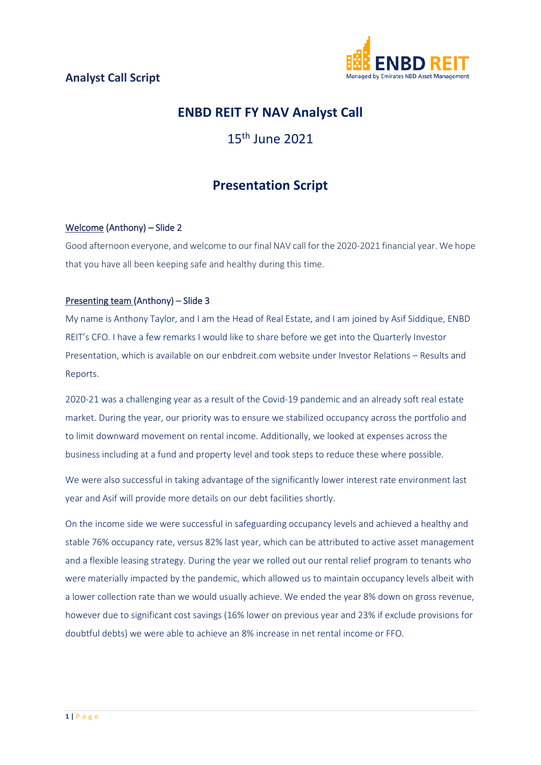

# **ENBD REIT FY NAV Analyst Call**

# 15th June 2021

# **Presentation Script**

# Welcome (Anthony) – Slide 2

Good afternoon everyone, and welcome to our final NAV call for the 2020-2021 financial year. We hope that you have all been keeping safe and healthy during this time.

# Presenting team (Anthony) – Slide 3

My name is Anthony Taylor, and I am the Head of Real Estate, and I am joined by Asif Siddique, ENBD REIT's CFO. I have a few remarks I would like to share before we get into the Quarterly Investor Presentation, which is available on our enbdreit.com website under Investor Relations – Results and Reports.

2020-21 was a challenging year as a result of the Covid-19 pandemic and an already soft real estate market. During the year, our priority was to ensure we stabilized occupancy across the portfolio and to limit downward movement on rental income. Additionally, we looked at expenses across the business including at a fund and property level and took steps to reduce these where possible.

We were also successful in taking advantage of the significantly lower interest rate environment last year and Asif will provide more details on our debt facilities shortly.

On the income side we were successful in safeguarding occupancy levels and achieved a healthy and stable 76% occupancy rate, versus 82% last year, which can be attributed to active asset management and a flexible leasing strategy. During the year we rolled out our rental relief program to tenants who were materially impacted by the pandemic, which allowed us to maintain occupancy levels albeit with a lower collection rate than we would usually achieve. We ended the year 8% down on gross revenue, however due to significant cost savings (16% lower on previous year and 23% if exclude provisions for doubtful debts) we were able to achieve an 8% increase in net rental income or FFO.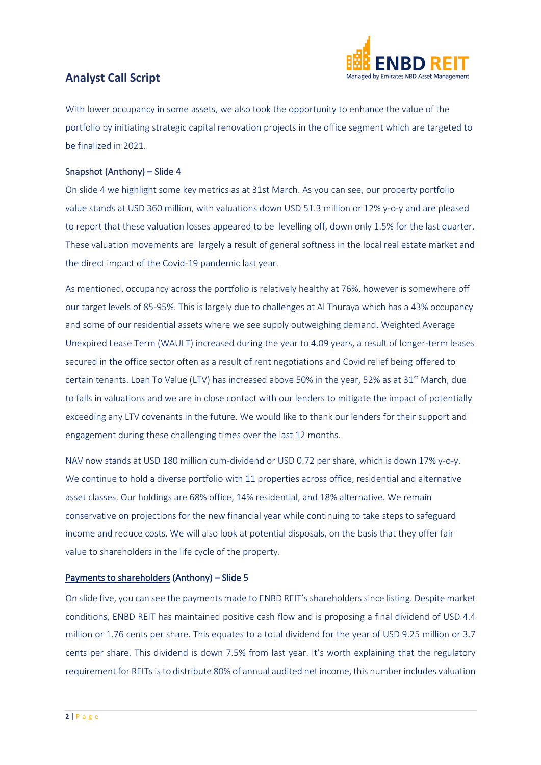

With lower occupancy in some assets, we also took the opportunity to enhance the value of the portfolio by initiating strategic capital renovation projects in the office segment which are targeted to be finalized in 2021.

## Snapshot (Anthony) – Slide 4

On slide 4 we highlight some key metrics as at 31st March. As you can see, our property portfolio value stands at USD 360 million, with valuations down USD 51.3 million or 12% y-o-y and are pleased to report that these valuation losses appeared to be levelling off, down only 1.5% for the last quarter. These valuation movements are largely a result of general softness in the local real estate market and the direct impact of the Covid-19 pandemic last year.

As mentioned, occupancy across the portfolio is relatively healthy at 76%, however is somewhere off our target levels of 85-95%. This is largely due to challenges at Al Thuraya which has a 43% occupancy and some of our residential assets where we see supply outweighing demand. Weighted Average Unexpired Lease Term (WAULT) increased during the year to 4.09 years, a result of longer-term leases secured in the office sector often as a result of rent negotiations and Covid relief being offered to certain tenants. Loan To Value (LTV) has increased above 50% in the year, 52% as at 31<sup>st</sup> March, due to falls in valuations and we are in close contact with our lenders to mitigate the impact of potentially exceeding any LTV covenants in the future. We would like to thank our lenders for their support and engagement during these challenging times over the last 12 months.

NAV now stands at USD 180 million cum-dividend or USD 0.72 per share, which is down 17% y-o-y. We continue to hold a diverse portfolio with 11 properties across office, residential and alternative asset classes. Our holdings are 68% office, 14% residential, and 18% alternative. We remain conservative on projections for the new financial year while continuing to take steps to safeguard income and reduce costs. We will also look at potential disposals, on the basis that they offer fair value to shareholders in the life cycle of the property.

## Payments to shareholders (Anthony) – Slide 5

On slide five, you can see the payments made to ENBD REIT's shareholders since listing. Despite market conditions, ENBD REIT has maintained positive cash flow and is proposing a final dividend of USD 4.4 million or 1.76 cents per share. This equates to a total dividend for the year of USD 9.25 million or 3.7 cents per share. This dividend is down 7.5% from last year. It's worth explaining that the regulatory requirement for REITs is to distribute 80% of annual audited net income, this number includes valuation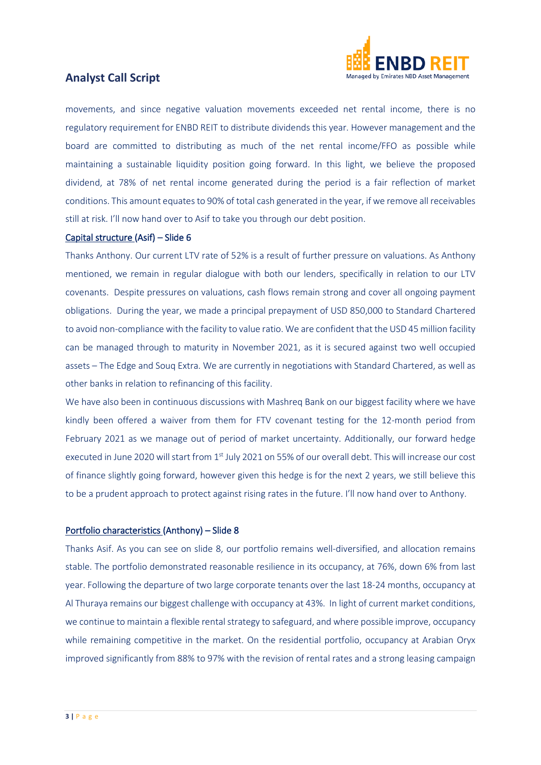

movements, and since negative valuation movements exceeded net rental income, there is no regulatory requirement for ENBD REIT to distribute dividends this year. However management and the board are committed to distributing as much of the net rental income/FFO as possible while maintaining a sustainable liquidity position going forward. In this light, we believe the proposed dividend, at 78% of net rental income generated during the period is a fair reflection of market conditions. This amount equates to 90% of total cash generated in the year, if we remove all receivables still at risk. I'll now hand over to Asif to take you through our debt position.

#### Capital structure (Asif) – Slide 6

Thanks Anthony. Our current LTV rate of 52% is a result of further pressure on valuations. As Anthony mentioned, we remain in regular dialogue with both our lenders, specifically in relation to our LTV covenants. Despite pressures on valuations, cash flows remain strong and cover all ongoing payment obligations. During the year, we made a principal prepayment of USD 850,000 to Standard Chartered to avoid non-compliance with the facility to value ratio. We are confident that the USD 45 million facility can be managed through to maturity in November 2021, as it is secured against two well occupied assets – The Edge and Souq Extra. We are currently in negotiations with Standard Chartered, as well as other banks in relation to refinancing of this facility.

We have also been in continuous discussions with Mashreq Bank on our biggest facility where we have kindly been offered a waiver from them for FTV covenant testing for the 12-month period from February 2021 as we manage out of period of market uncertainty. Additionally, our forward hedge executed in June 2020 will start from 1<sup>st</sup> July 2021 on 55% of our overall debt. This will increase our cost of finance slightly going forward, however given this hedge is for the next 2 years, we still believe this to be a prudent approach to protect against rising rates in the future. I'll now hand over to Anthony.

#### Portfolio characteristics (Anthony) – Slide 8

Thanks Asif. As you can see on slide 8, our portfolio remains well-diversified, and allocation remains stable. The portfolio demonstrated reasonable resilience in its occupancy, at 76%, down 6% from last year. Following the departure of two large corporate tenants over the last 18-24 months, occupancy at Al Thuraya remains our biggest challenge with occupancy at 43%. In light of current market conditions, we continue to maintain a flexible rental strategy to safeguard, and where possible improve, occupancy while remaining competitive in the market. On the residential portfolio, occupancy at Arabian Oryx improved significantly from 88% to 97% with the revision of rental rates and a strong leasing campaign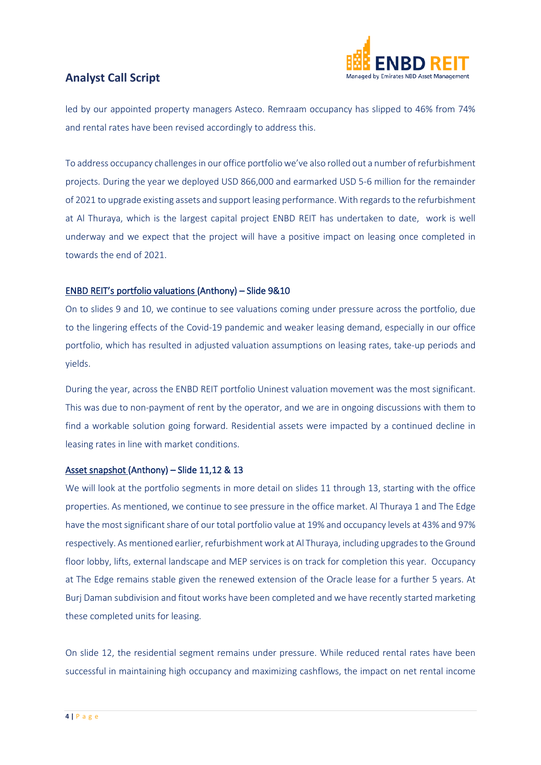

led by our appointed property managers Asteco. Remraam occupancy has slipped to 46% from 74% and rental rates have been revised accordingly to address this.

To address occupancy challenges in our office portfolio we've also rolled out a number of refurbishment projects. During the year we deployed USD 866,000 and earmarked USD 5-6 million for the remainder of 2021 to upgrade existing assets and support leasing performance. With regards to the refurbishment at Al Thuraya, which is the largest capital project ENBD REIT has undertaken to date, work is well underway and we expect that the project will have a positive impact on leasing once completed in towards the end of 2021.

## ENBD REIT's portfolio valuations (Anthony) – Slide 9&10

On to slides 9 and 10, we continue to see valuations coming under pressure across the portfolio, due to the lingering effects of the Covid-19 pandemic and weaker leasing demand, especially in our office portfolio, which has resulted in adjusted valuation assumptions on leasing rates, take-up periods and yields.

During the year, across the ENBD REIT portfolio Uninest valuation movement was the most significant. This was due to non-payment of rent by the operator, and we are in ongoing discussions with them to find a workable solution going forward. Residential assets were impacted by a continued decline in leasing rates in line with market conditions.

## Asset snapshot (Anthony) – Slide 11,12 & 13

We will look at the portfolio segments in more detail on slides 11 through 13, starting with the office properties. As mentioned, we continue to see pressure in the office market. Al Thuraya 1 and The Edge have the most significant share of our total portfolio value at 19% and occupancy levels at 43% and 97% respectively. As mentioned earlier, refurbishment work at Al Thuraya, including upgrades to the Ground floor lobby, lifts, external landscape and MEP services is on track for completion this year. Occupancy at The Edge remains stable given the renewed extension of the Oracle lease for a further 5 years. At Burj Daman subdivision and fitout works have been completed and we have recently started marketing these completed units for leasing.

On slide 12, the residential segment remains under pressure. While reduced rental rates have been successful in maintaining high occupancy and maximizing cashflows, the impact on net rental income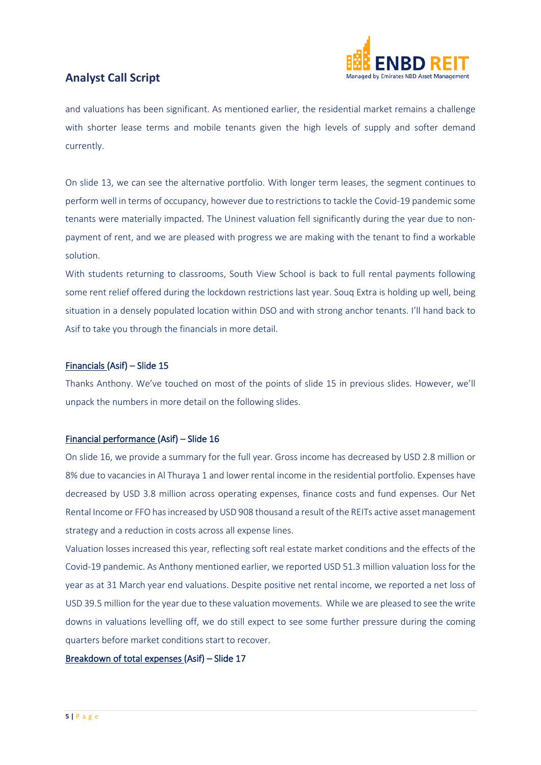

and valuations has been significant. As mentioned earlier, the residential market remains a challenge with shorter lease terms and mobile tenants given the high levels of supply and softer demand currently.

On slide 13, we can see the alternative portfolio. With longer term leases, the segment continues to perform well in terms of occupancy, however due to restrictions to tackle the Covid-19 pandemic some tenants were materially impacted. The Uninest valuation fell significantly during the year due to nonpayment of rent, and we are pleased with progress we are making with the tenant to find a workable solution.

With students returning to classrooms, South View School is back to full rental payments following some rent relief offered during the lockdown restrictions last year. Souq Extra is holding up well, being situation in a densely populated location within DSO and with strong anchor tenants. I'll hand back to Asif to take you through the financials in more detail.

## Financials (Asif) – Slide 15

Thanks Anthony. We've touched on most of the points of slide 15 in previous slides. However, we'll unpack the numbers in more detail on the following slides.

## Financial performance (Asif) – Slide 16

On slide 16, we provide a summary for the full year. Gross income has decreased by USD 2.8 million or 8% due to vacancies in Al Thuraya 1 and lower rental income in the residential portfolio. Expenses have decreased by USD 3.8 million across operating expenses, finance costs and fund expenses. Our Net Rental Income or FFO has increased by USD 908 thousand a result of the REITs active asset management strategy and a reduction in costs across all expense lines.

Valuation losses increased this year, reflecting soft real estate market conditions and the effects of the Covid-19 pandemic. As Anthony mentioned earlier, we reported USD 51.3 million valuation loss for the year as at 31 March year end valuations. Despite positive net rental income, we reported a net loss of USD 39.5 million for the year due to these valuation movements. While we are pleased to see the write downs in valuations levelling off, we do still expect to see some further pressure during the coming quarters before market conditions start to recover.

## Breakdown of total expenses (Asif) – Slide 17